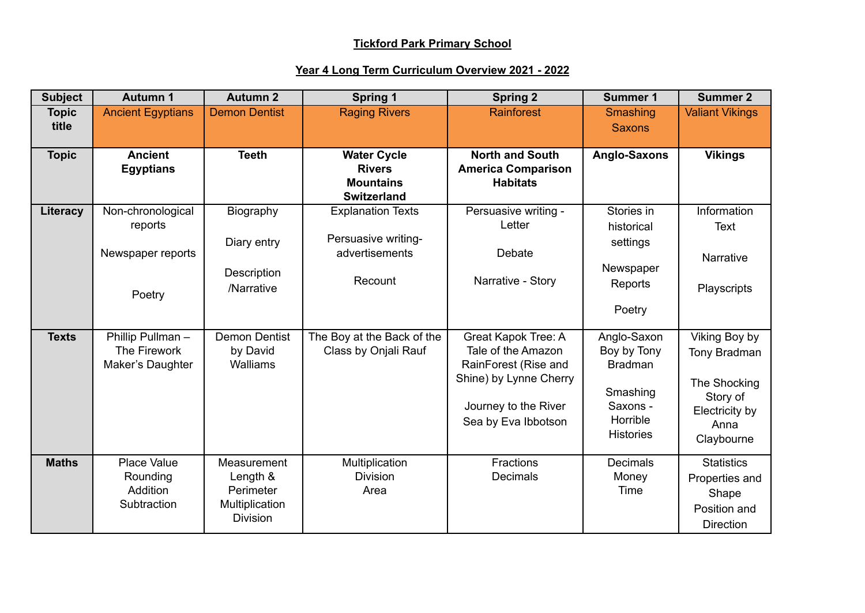## **Tickford Park Primary School**

## **Year 4 Long Term Curriculum Overview 2021 - 2022**

| <b>Subject</b>        | <b>Autumn 1</b>                                             | <b>Autumn 2</b>                                                           | <b>Spring 1</b>                                                               | <b>Spring 2</b>                                                                                                                            | <b>Summer 1</b>                                                                                      | <b>Summer 2</b>                                                                                   |
|-----------------------|-------------------------------------------------------------|---------------------------------------------------------------------------|-------------------------------------------------------------------------------|--------------------------------------------------------------------------------------------------------------------------------------------|------------------------------------------------------------------------------------------------------|---------------------------------------------------------------------------------------------------|
| <b>Topic</b><br>title | <b>Ancient Egyptians</b>                                    | <b>Demon Dentist</b>                                                      | <b>Raging Rivers</b>                                                          | <b>Rainforest</b>                                                                                                                          | Smashing<br><b>Saxons</b>                                                                            | <b>Valiant Vikings</b>                                                                            |
| <b>Topic</b>          | <b>Ancient</b><br><b>Egyptians</b>                          | <b>Teeth</b>                                                              | <b>Water Cycle</b><br><b>Rivers</b><br><b>Mountains</b><br><b>Switzerland</b> | <b>North and South</b><br><b>America Comparison</b><br><b>Habitats</b>                                                                     | <b>Anglo-Saxons</b>                                                                                  | <b>Vikings</b>                                                                                    |
| Literacy              | Non-chronological<br>reports<br>Newspaper reports<br>Poetry | Biography<br>Diary entry<br>Description<br>/Narrative                     | <b>Explanation Texts</b><br>Persuasive writing-<br>advertisements<br>Recount  | Persuasive writing -<br>Letter<br>Debate<br>Narrative - Story                                                                              | Stories in<br>historical<br>settings<br>Newspaper<br>Reports<br>Poetry                               | Information<br>Text<br>Narrative<br>Playscripts                                                   |
| <b>Texts</b>          | Phillip Pullman-<br>The Firework<br>Maker's Daughter        | <b>Demon Dentist</b><br>by David<br>Walliams                              | The Boy at the Back of the<br>Class by Onjali Rauf                            | Great Kapok Tree: A<br>Tale of the Amazon<br>RainForest (Rise and<br>Shine) by Lynne Cherry<br>Journey to the River<br>Sea by Eva Ibbotson | Anglo-Saxon<br>Boy by Tony<br><b>Bradman</b><br>Smashing<br>Saxons -<br>Horrible<br><b>Histories</b> | Viking Boy by<br>Tony Bradman<br>The Shocking<br>Story of<br>Electricity by<br>Anna<br>Claybourne |
| <b>Maths</b>          | Place Value<br>Rounding<br>Addition<br>Subtraction          | Measurement<br>Length &<br>Perimeter<br>Multiplication<br><b>Division</b> | Multiplication<br><b>Division</b><br>Area                                     | Fractions<br>Decimals                                                                                                                      | <b>Decimals</b><br>Money<br>Time                                                                     | <b>Statistics</b><br>Properties and<br>Shape<br>Position and<br><b>Direction</b>                  |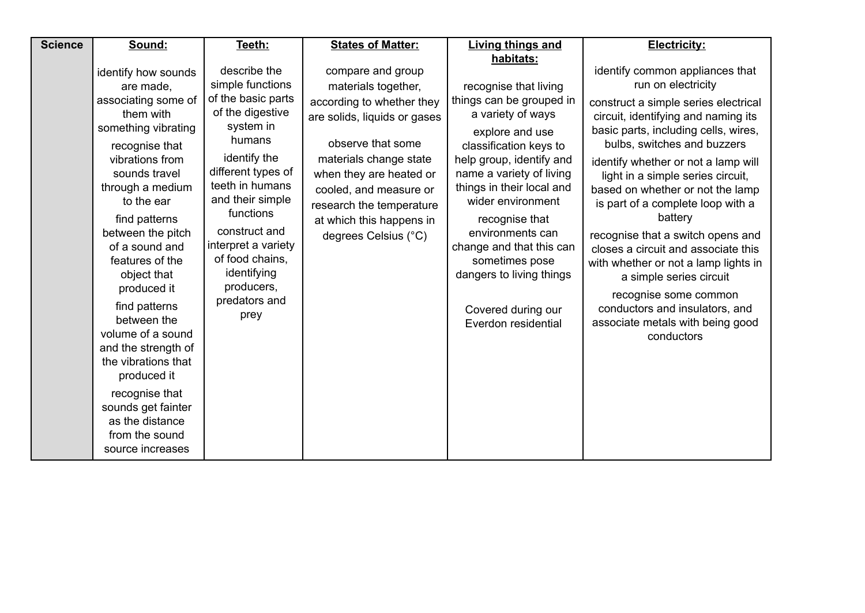| <b>Science</b> | Sound:                                                                                                                                                                                                                                                                                                                                                                                                                                                                                                          | Teeth:                                                                                                                                                                                                                                                                                                       | <b>States of Matter:</b>                                                                                                                                                                                                                                                                  | <b>Living things and</b>                                                                                                                                                                                                                                                                                                                                                                                | <b>Electricity:</b>                                                                                                                                                                                                                                                                                                                                                                                                                                                                                                                                                                                                                     |
|----------------|-----------------------------------------------------------------------------------------------------------------------------------------------------------------------------------------------------------------------------------------------------------------------------------------------------------------------------------------------------------------------------------------------------------------------------------------------------------------------------------------------------------------|--------------------------------------------------------------------------------------------------------------------------------------------------------------------------------------------------------------------------------------------------------------------------------------------------------------|-------------------------------------------------------------------------------------------------------------------------------------------------------------------------------------------------------------------------------------------------------------------------------------------|---------------------------------------------------------------------------------------------------------------------------------------------------------------------------------------------------------------------------------------------------------------------------------------------------------------------------------------------------------------------------------------------------------|-----------------------------------------------------------------------------------------------------------------------------------------------------------------------------------------------------------------------------------------------------------------------------------------------------------------------------------------------------------------------------------------------------------------------------------------------------------------------------------------------------------------------------------------------------------------------------------------------------------------------------------------|
|                | identify how sounds<br>are made,<br>associating some of<br>them with<br>something vibrating<br>recognise that<br>vibrations from<br>sounds travel<br>through a medium<br>to the ear<br>find patterns<br>between the pitch<br>of a sound and<br>features of the<br>object that<br>produced it<br>find patterns<br>between the<br>volume of a sound<br>and the strength of<br>the vibrations that<br>produced it<br>recognise that<br>sounds get fainter<br>as the distance<br>from the sound<br>source increases | describe the<br>simple functions<br>of the basic parts<br>of the digestive<br>system in<br>humans<br>identify the<br>different types of<br>teeth in humans<br>and their simple<br>functions<br>construct and<br>interpret a variety<br>of food chains,<br>identifying<br>producers,<br>predators and<br>prey | compare and group<br>materials together,<br>according to whether they<br>are solids, liquids or gases<br>observe that some<br>materials change state<br>when they are heated or<br>cooled, and measure or<br>research the temperature<br>at which this happens in<br>degrees Celsius (°C) | habitats:<br>recognise that living<br>things can be grouped in<br>a variety of ways<br>explore and use<br>classification keys to<br>help group, identify and<br>name a variety of living<br>things in their local and<br>wider environment<br>recognise that<br>environments can<br>change and that this can<br>sometimes pose<br>dangers to living things<br>Covered during our<br>Everdon residential | identify common appliances that<br>run on electricity<br>construct a simple series electrical<br>circuit, identifying and naming its<br>basic parts, including cells, wires,<br>bulbs, switches and buzzers<br>identify whether or not a lamp will<br>light in a simple series circuit,<br>based on whether or not the lamp<br>is part of a complete loop with a<br>battery<br>recognise that a switch opens and<br>closes a circuit and associate this<br>with whether or not a lamp lights in<br>a simple series circuit<br>recognise some common<br>conductors and insulators, and<br>associate metals with being good<br>conductors |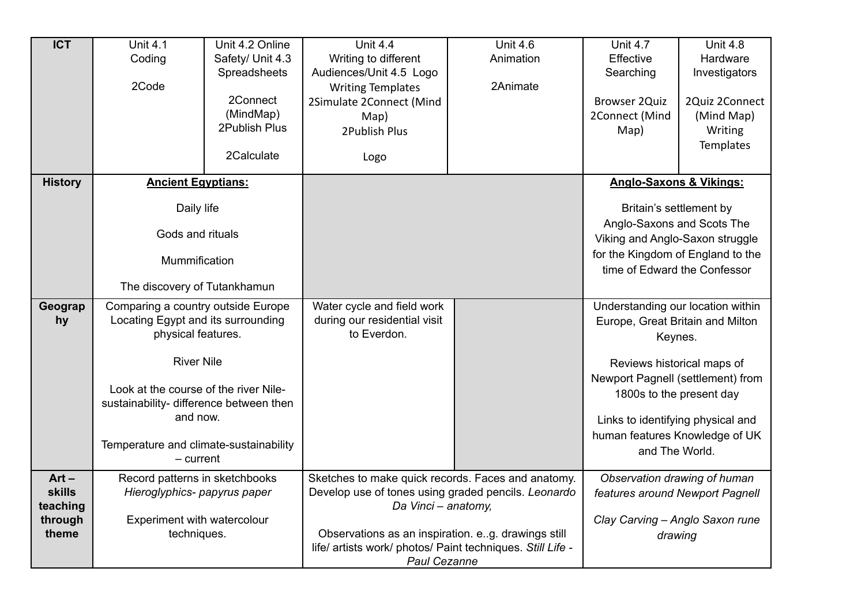| $\overline{ICT}$ | <b>Unit 4.1</b>                         | Unit 4.2 Online  | <b>Unit 4.4</b>                                            | <b>Unit 4.6</b> | <b>Unit 4.7</b>                    | <b>Unit 4.8</b>              |
|------------------|-----------------------------------------|------------------|------------------------------------------------------------|-----------------|------------------------------------|------------------------------|
|                  | Coding                                  | Safety/ Unit 4.3 | Writing to different                                       | Animation       | Effective                          | Hardware                     |
|                  |                                         | Spreadsheets     | Audiences/Unit 4.5 Logo                                    |                 | Searching                          | Investigators                |
|                  | 2Code                                   |                  | <b>Writing Templates</b>                                   | 2Animate        |                                    |                              |
|                  |                                         | 2Connect         | 2Simulate 2Connect (Mind                                   |                 | <b>Browser 2Quiz</b>               | 2Quiz 2Connect               |
|                  |                                         | (MindMap)        | Map)                                                       |                 | 2Connect (Mind                     | (Mind Map)                   |
|                  |                                         | 2Publish Plus    | 2Publish Plus                                              |                 | Map)                               | Writing                      |
|                  |                                         |                  |                                                            |                 |                                    | <b>Templates</b>             |
|                  |                                         | 2Calculate       | Logo                                                       |                 |                                    |                              |
| <b>History</b>   | <b>Ancient Egyptians:</b>               |                  |                                                            |                 | <b>Anglo-Saxons &amp; Vikings:</b> |                              |
|                  |                                         |                  |                                                            |                 |                                    |                              |
|                  | Daily life                              |                  |                                                            |                 | Britain's settlement by            |                              |
|                  |                                         |                  |                                                            |                 | Anglo-Saxons and Scots The         |                              |
|                  | Gods and rituals                        |                  |                                                            |                 | Viking and Anglo-Saxon struggle    |                              |
|                  | Mummification                           |                  |                                                            |                 | for the Kingdom of England to the  |                              |
|                  |                                         |                  |                                                            |                 | time of Edward the Confessor       |                              |
|                  | The discovery of Tutankhamun            |                  |                                                            |                 |                                    |                              |
| Geograp          | Comparing a country outside Europe      |                  | Water cycle and field work                                 |                 | Understanding our location within  |                              |
| hy               | Locating Egypt and its surrounding      |                  | during our residential visit                               |                 | Europe, Great Britain and Milton   |                              |
|                  | physical features.                      |                  | to Everdon.                                                |                 | Keynes.                            |                              |
|                  |                                         |                  |                                                            |                 |                                    |                              |
|                  | <b>River Nile</b>                       |                  |                                                            |                 | Reviews historical maps of         |                              |
|                  | Look at the course of the river Nile-   |                  |                                                            |                 | Newport Pagnell (settlement) from  |                              |
|                  | sustainability- difference between then |                  |                                                            |                 | 1800s to the present day           |                              |
|                  | and now.                                |                  |                                                            |                 |                                    |                              |
|                  |                                         |                  |                                                            |                 | Links to identifying physical and  |                              |
|                  | Temperature and climate-sustainability  |                  |                                                            |                 | human features Knowledge of UK     |                              |
|                  | $-$ current                             |                  |                                                            |                 | and The World.                     |                              |
| $Art -$          | Record patterns in sketchbooks          |                  | Sketches to make quick records. Faces and anatomy.         |                 |                                    | Observation drawing of human |
| <b>skills</b>    | Hieroglyphics- papyrus paper            |                  | Develop use of tones using graded pencils. Leonardo        |                 | features around Newport Pagnell    |                              |
| teaching         |                                         |                  | Da Vinci - anatomy,                                        |                 |                                    |                              |
| through          | Experiment with watercolour             |                  |                                                            |                 | Clay Carving - Anglo Saxon rune    |                              |
| theme            | techniques.                             |                  | Observations as an inspiration. e.g. drawings still        |                 | drawing                            |                              |
|                  |                                         |                  | life/ artists work/ photos/ Paint techniques. Still Life - |                 |                                    |                              |
|                  |                                         |                  | <b>Paul Cezanne</b>                                        |                 |                                    |                              |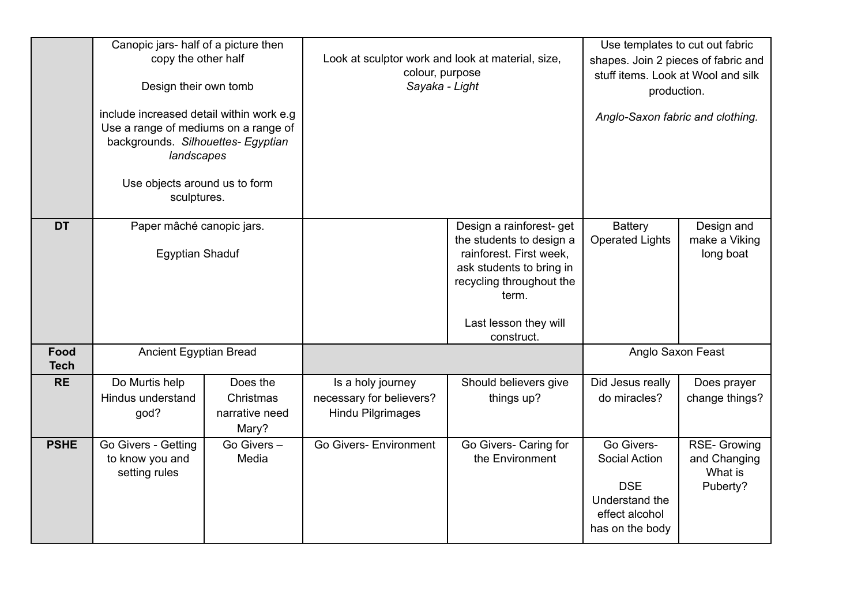|                     | Canopic jars- half of a picture then<br>copy the other half<br>Design their own tomb<br>include increased detail within work e.g.<br>Use a range of mediums on a range of<br>backgrounds. Silhouettes- Egyptian<br>landscapes |                                                  | Look at sculptor work and look at material, size,<br>colour, purpose<br>Sayaka - Light |                                                                                                                                                                                         | Use templates to cut out fabric<br>shapes. Join 2 pieces of fabric and<br>stuff items. Look at Wool and silk<br>production.<br>Anglo-Saxon fabric and clothing. |                                                            |
|---------------------|-------------------------------------------------------------------------------------------------------------------------------------------------------------------------------------------------------------------------------|--------------------------------------------------|----------------------------------------------------------------------------------------|-----------------------------------------------------------------------------------------------------------------------------------------------------------------------------------------|-----------------------------------------------------------------------------------------------------------------------------------------------------------------|------------------------------------------------------------|
|                     | Use objects around us to form<br>sculptures.                                                                                                                                                                                  |                                                  |                                                                                        |                                                                                                                                                                                         |                                                                                                                                                                 |                                                            |
| <b>DT</b>           | Paper mâché canopic jars.<br><b>Egyptian Shaduf</b>                                                                                                                                                                           |                                                  |                                                                                        | Design a rainforest- get<br>the students to design a<br>rainforest. First week,<br>ask students to bring in<br>recycling throughout the<br>term.<br>Last lesson they will<br>construct. | <b>Battery</b><br><b>Operated Lights</b>                                                                                                                        | Design and<br>make a Viking<br>long boat                   |
| Food<br><b>Tech</b> | <b>Ancient Egyptian Bread</b>                                                                                                                                                                                                 |                                                  |                                                                                        |                                                                                                                                                                                         | Anglo Saxon Feast                                                                                                                                               |                                                            |
| <b>RE</b>           | Do Murtis help<br>Hindus understand<br>god?                                                                                                                                                                                   | Does the<br>Christmas<br>narrative need<br>Mary? | Is a holy journey<br>necessary for believers?<br><b>Hindu Pilgrimages</b>              | Should believers give<br>things up?                                                                                                                                                     | Did Jesus really<br>do miracles?                                                                                                                                | Does prayer<br>change things?                              |
| <b>PSHE</b>         | Go Givers - Getting<br>to know you and<br>setting rules                                                                                                                                                                       | Go Givers-<br>Media                              | <b>Go Givers- Environment</b>                                                          | Go Givers- Caring for<br>the Environment                                                                                                                                                | Go Givers-<br><b>Social Action</b><br><b>DSE</b><br>Understand the<br>effect alcohol<br>has on the body                                                         | <b>RSE- Growing</b><br>and Changing<br>What is<br>Puberty? |